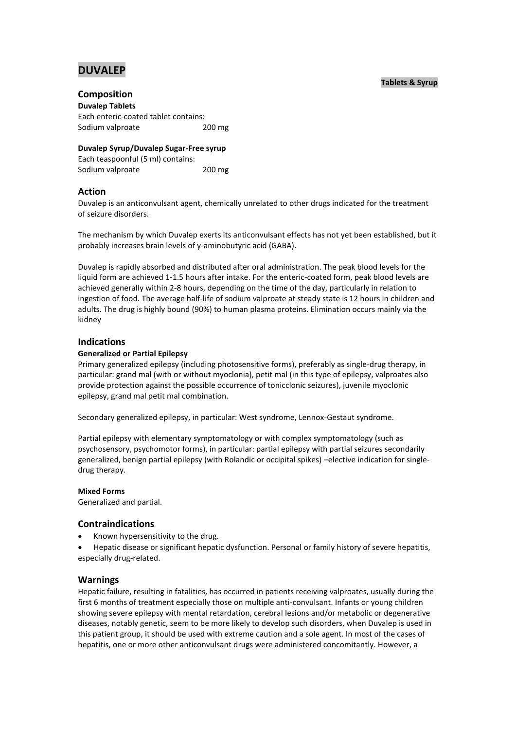# **DUVALEP**

# **Tablets & Syrup**

# **Composition**

**Duvalep Tablets** Each enteric-coated tablet contains: Sodium valproate 200 mg

**Duvalep Syrup/Duvalep Sugar-Free syrup** Each teaspoonful (5 ml) contains: Sodium valproate 200 mg

# **Action**

Duvalep is an anticonvulsant agent, chemically unrelated to other drugs indicated for the treatment of seizure disorders.

The mechanism by which Duvalep exerts its anticonvulsant effects has not yet been established, but it probably increases brain levels of y-aminobutyric acid (GABA).

Duvalep is rapidly absorbed and distributed after oral administration. The peak blood levels for the liquid form are achieved 1-1.5 hours after intake. For the enteric-coated form, peak blood levels are achieved generally within 2-8 hours, depending on the time of the day, particularly in relation to ingestion of food. The average half-life of sodium valproate at steady state is 12 hours in children and adults. The drug is highly bound (90%) to human plasma proteins. Elimination occurs mainly via the kidney

# **Indications**

## **Generalized or Partial Epilepsy**

Primary generalized epilepsy (including photosensitive forms), preferably as single-drug therapy, in particular: grand mal (with or without myoclonia), petit mal (in this type of epilepsy, valproates also provide protection against the possible occurrence of tonicclonic seizures), juvenile myoclonic epilepsy, grand mal petit mal combination.

Secondary generalized epilepsy, in particular: West syndrome, Lennox-Gestaut syndrome.

Partial epilepsy with elementary symptomatology or with complex symptomatology (such as psychosensory, psychomotor forms), in particular: partial epilepsy with partial seizures secondarily generalized, benign partial epilepsy (with Rolandic or occipital spikes) –elective indication for singledrug therapy.

## **Mixed Forms**

Generalized and partial.

# **Contraindications**

Known hypersensitivity to the drug.

 Hepatic disease or significant hepatic dysfunction. Personal or family history of severe hepatitis, especially drug-related.

## **Warnings**

Hepatic failure, resulting in fatalities, has occurred in patients receiving valproates, usually during the first 6 months of treatment especially those on multiple anti-convulsant. Infants or young children showing severe epilepsy with mental retardation, cerebral lesions and/or metabolic or degenerative diseases, notably genetic, seem to be more likely to develop such disorders, when Duvalep is used in this patient group, it should be used with extreme caution and a sole agent. In most of the cases of hepatitis, one or more other anticonvulsant drugs were administered concomitantly. However, a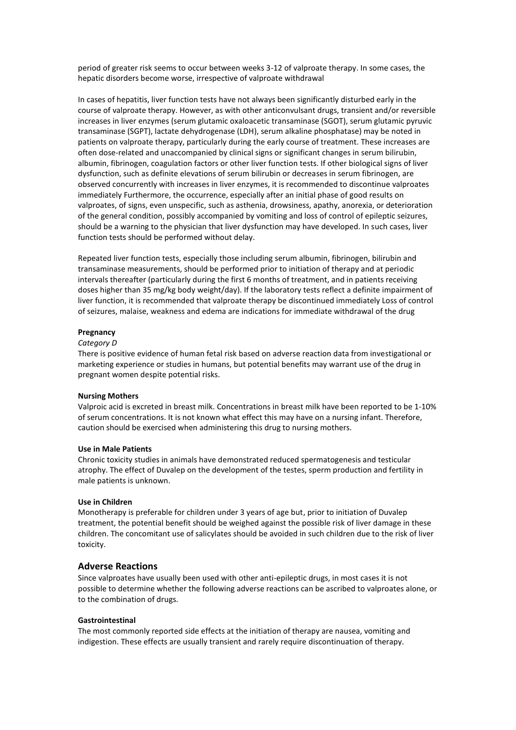period of greater risk seems to occur between weeks 3-12 of valproate therapy. In some cases, the hepatic disorders become worse, irrespective of valproate withdrawal

In cases of hepatitis, liver function tests have not always been significantly disturbed early in the course of valproate therapy. However, as with other anticonvulsant drugs, transient and/or reversible increases in liver enzymes (serum glutamic oxaloacetic transaminase (SGOT), serum glutamic pyruvic transaminase (SGPT), lactate dehydrogenase (LDH), serum alkaline phosphatase) may be noted in patients on valproate therapy, particularly during the early course of treatment. These increases are often dose-related and unaccompanied by clinical signs or significant changes in serum bilirubin, albumin, fibrinogen, coagulation factors or other liver function tests. If other biological signs of liver dysfunction, such as definite elevations of serum bilirubin or decreases in serum fibrinogen, are observed concurrently with increases in liver enzymes, it is recommended to discontinue valproates immediately Furthermore, the occurrence, especially after an initial phase of good results on valproates, of signs, even unspecific, such as asthenia, drowsiness, apathy, anorexia, or deterioration of the general condition, possibly accompanied by vomiting and loss of control of epileptic seizures, should be a warning to the physician that liver dysfunction may have developed. In such cases, liver function tests should be performed without delay.

Repeated liver function tests, especially those including serum albumin, fibrinogen, bilirubin and transaminase measurements, should be performed prior to initiation of therapy and at periodic intervals thereafter (particularly during the first 6 months of treatment, and in patients receiving doses higher than 35 mg/kg body weight/day). If the laboratory tests reflect a definite impairment of liver function, it is recommended that valproate therapy be discontinued immediately Loss of control of seizures, malaise, weakness and edema are indications for immediate withdrawal of the drug

#### **Pregnancy**

#### *Category D*

There is positive evidence of human fetal risk based on adverse reaction data from investigational or marketing experience or studies in humans, but potential benefits may warrant use of the drug in pregnant women despite potential risks.

#### **Nursing Mothers**

Valproic acid is excreted in breast milk. Concentrations in breast milk have been reported to be 1-10% of serum concentrations. It is not known what effect this may have on a nursing infant. Therefore, caution should be exercised when administering this drug to nursing mothers.

#### **Use in Male Patients**

Chronic toxicity studies in animals have demonstrated reduced spermatogenesis and testicular atrophy. The effect of Duvalep on the development of the testes, sperm production and fertility in male patients is unknown.

#### **Use in Children**

Monotherapy is preferable for children under 3 years of age but, prior to initiation of Duvalep treatment, the potential benefit should be weighed against the possible risk of liver damage in these children. The concomitant use of salicylates should be avoided in such children due to the risk of liver toxicity.

### **Adverse Reactions**

Since valproates have usually been used with other anti-epileptic drugs, in most cases it is not possible to determine whether the following adverse reactions can be ascribed to valproates alone, or to the combination of drugs.

#### **Gastrointestinal**

The most commonly reported side effects at the initiation of therapy are nausea, vomiting and indigestion. These effects are usually transient and rarely require discontinuation of therapy.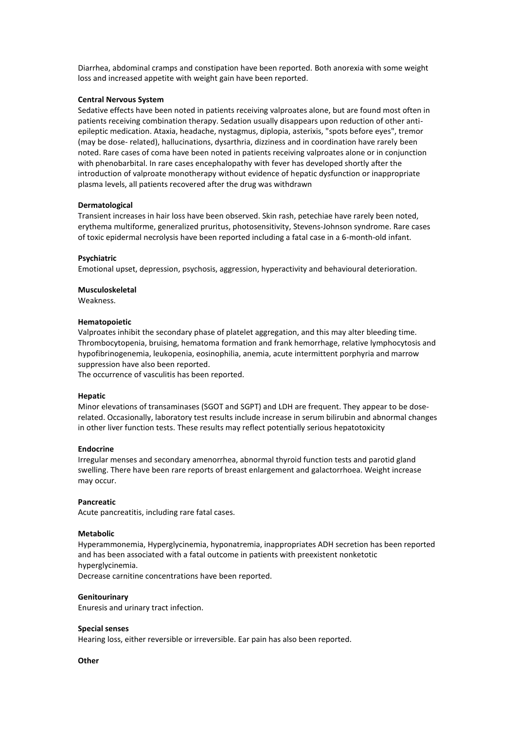Diarrhea, abdominal cramps and constipation have been reported. Both anorexia with some weight loss and increased appetite with weight gain have been reported.

#### **Central Nervous System**

Sedative effects have been noted in patients receiving valproates alone, but are found most often in patients receiving combination therapy. Sedation usually disappears upon reduction of other antiepileptic medication. Ataxia, headache, nystagmus, diplopia, asterixis, "spots before eyes", tremor (may be dose- related), hallucinations, dysarthria, dizziness and in coordination have rarely been noted. Rare cases of coma have been noted in patients receiving valproates alone or in conjunction with phenobarbital. In rare cases encephalopathy with fever has developed shortly after the introduction of valproate monotherapy without evidence of hepatic dysfunction or inappropriate plasma levels, all patients recovered after the drug was withdrawn

#### **Dermatological**

Transient increases in hair loss have been observed. Skin rash, petechiae have rarely been noted, erythema multiforme, generalized pruritus, photosensitivity, Stevens-Johnson syndrome. Rare cases of toxic epidermal necrolysis have been reported including a fatal case in a 6-month-old infant.

#### **Psychiatric**

Emotional upset, depression, psychosis, aggression, hyperactivity and behavioural deterioration.

# **Musculoskeletal**

Weakness.

#### **Hematopoietic**

Valproates inhibit the secondary phase of platelet aggregation, and this may alter bleeding time. Thrombocytopenia, bruising, hematoma formation and frank hemorrhage, relative lymphocytosis and hypofibrinogenemia, leukopenia, eosinophilia, anemia, acute intermittent porphyria and marrow suppression have also been reported.

The occurrence of vasculitis has been reported.

#### **Hepatic**

Minor elevations of transaminases (SGOT and SGPT) and LDH are frequent. They appear to be doserelated. Occasionally, laboratory test results include increase in serum bilirubin and abnormal changes in other liver function tests. These results may reflect potentially serious hepatotoxicity

#### **Endocrine**

Irregular menses and secondary amenorrhea, abnormal thyroid function tests and parotid gland swelling. There have been rare reports of breast enlargement and galactorrhoea. Weight increase may occur.

#### **Pancreatic**

Acute pancreatitis, including rare fatal cases.

#### **Metabolic**

Hyperammonemia, Hyperglycinemia, hyponatremia, inappropriates ADH secretion has been reported and has been associated with a fatal outcome in patients with preexistent nonketotic hyperglycinemia.

Decrease carnitine concentrations have been reported.

#### **Genitourinary**

Enuresis and urinary tract infection.

### **Special senses**

Hearing loss, either reversible or irreversible. Ear pain has also been reported.

#### **Other**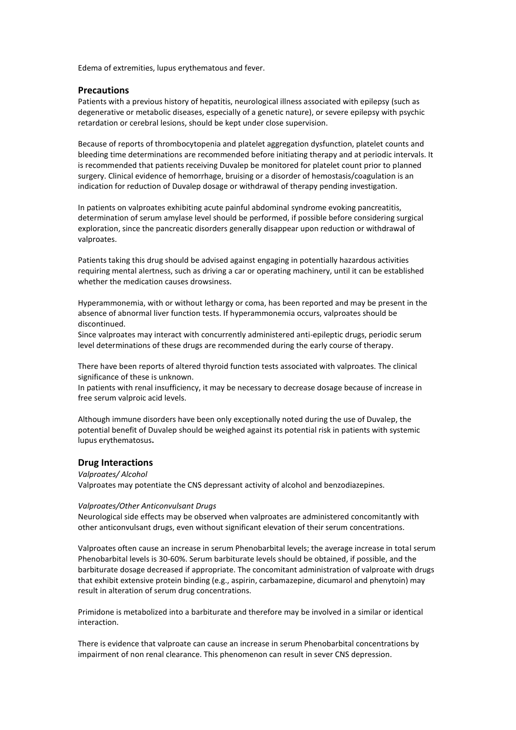Edema of extremities, lupus erythematous and fever.

# **Precautions**

Patients with a previous history of hepatitis, neurological illness associated with epilepsy (such as degenerative or metabolic diseases, especially of a genetic nature), or severe epilepsy with psychic retardation or cerebral lesions, should be kept under close supervision.

Because of reports of thrombocytopenia and platelet aggregation dysfunction, platelet counts and bleeding time determinations are recommended before initiating therapy and at periodic intervals. It is recommended that patients receiving Duvalep be monitored for platelet count prior to planned surgery. Clinical evidence of hemorrhage, bruising or a disorder of hemostasis/coagulation is an indication for reduction of Duvalep dosage or withdrawal of therapy pending investigation.

In patients on valproates exhibiting acute painful abdominal syndrome evoking pancreatitis, determination of serum amylase level should be performed, if possible before considering surgical exploration, since the pancreatic disorders generally disappear upon reduction or withdrawal of valproates.

Patients taking this drug should be advised against engaging in potentially hazardous activities requiring mental alertness, such as driving a car or operating machinery, until it can be established whether the medication causes drowsiness.

Hyperammonemia, with or without lethargy or coma, has been reported and may be present in the absence of abnormal liver function tests. If hyperammonemia occurs, valproates should be discontinued.

Since valproates may interact with concurrently administered anti-epileptic drugs, periodic serum level determinations of these drugs are recommended during the early course of therapy.

There have been reports of altered thyroid function tests associated with valproates. The clinical significance of these is unknown.

In patients with renal insufficiency, it may be necessary to decrease dosage because of increase in free serum valproic acid levels.

Although immune disorders have been only exceptionally noted during the use of Duvalep, the potential benefit of Duvalep should be weighed against its potential risk in patients with systemic lupus erythematosus**.**

### **Drug Interactions**

*Valproates/ Alcohol*

Valproates may potentiate the CNS depressant activity of alcohol and benzodiazepines.

#### *Valproates/Other Anticonvulsant Drugs*

Neurological side effects may be observed when valproates are administered concomitantly with other anticonvulsant drugs, even without significant elevation of their serum concentrations.

Valproates often cause an increase in serum Phenobarbital levels; the average increase in total serum Phenobarbital levels is 30-60%. Serum barbiturate levels should be obtained, if possible, and the barbiturate dosage decreased if appropriate. The concomitant administration of valproate with drugs that exhibit extensive protein binding (e.g., aspirin, carbamazepine, dicumarol and phenytoin) may result in alteration of serum drug concentrations.

Primidone is metabolized into a barbiturate and therefore may be involved in a similar or identical interaction.

There is evidence that valproate can cause an increase in serum Phenobarbital concentrations by impairment of non renal clearance. This phenomenon can result in sever CNS depression.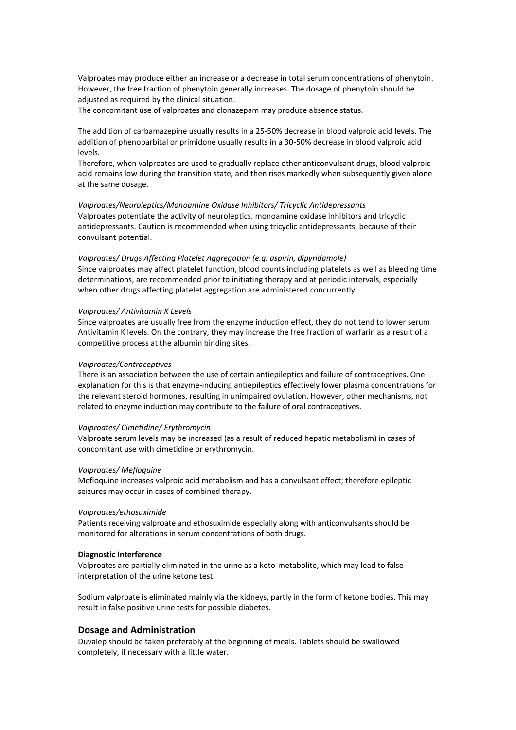Valproates may produce either an increase or a decrease in total serum concentrations of phenytoin. However, the free fraction of phenytoin generally increases. The dosage of phenytoin should be adjusted as required by the clinical situation.

The concomitant use of valproates and clonazepam may produce absence status.

The addition of carbamazepine usually results in a 25-50% decrease in blood valproic acid levels. The addition of phenobarbital or primidone usually results in a 30-50% decrease in blood valproic acid levels.

Therefore, when valproates are used to gradually replace other anticonvulsant drugs, blood valproic acid remains low during the transition state, and then rises markedly when subsequently given alone at the same dosage.

*Valproates/Neuroleptics/Monoamine Oxidase Inhibitors/ Tricyclic Antidepressants* Valproates potentiate the activity of neuroleptics, monoamine oxidase inhibitors and tricyclic antidepressants. Caution is recommended when using tricyclic antidepressants, because of their convulsant potential.

*Valproates/ Drugs Affecting Platelet Aggregation (e.g. aspirin, dipyridamole)* Since valproates may affect platelet function, blood counts including platelets as well as bleeding time determinations, are recommended prior to initiating therapy and at periodic intervals, especially when other drugs affecting platelet aggregation are administered concurrently.

#### *Valproates/ Antivitamin K Levels*

Since valproates are usually free from the enzyme induction effect, they do not tend to lower serum Antivitamin K levels. On the contrary, they may increase the free fraction of warfarin as a result of a competitive process at the albumin binding sites.

#### *Valproates/Contraceptives*

There is an association between the use of certain antiepileptics and failure of contraceptives. One explanation for this is that enzyme-inducing antiepileptics effectively lower plasma concentrations for the relevant steroid hormones, resulting in unimpaired ovulation. However, other mechanisms, not related to enzyme induction may contribute to the failure of oral contraceptives.

#### *Valproates/ Cimetidine/ Erythromycin*

Valproate serum levels may be increased (as a result of reduced hepatic metabolism) in cases of concomitant use with cimetidine or erythromycin.

#### *Valproates/ Mefloquine*

Mefloquine increases valproic acid metabolism and has a convulsant effect; therefore epileptic seizures may occur in cases of combined therapy.

#### *Valproates/ethosuximide*

Patients receiving valproate and ethosuximide especially along with anticonvulsants should be monitored for alterations in serum concentrations of both drugs.

#### **Diagnostic Interference**

Valproates are partially eliminated in the urine as a keto-metabolite, which may lead to false interpretation of the urine ketone test.

Sodium valproate is eliminated mainly via the kidneys, partly in the form of ketone bodies. This may result in false positive urine tests for possible diabetes.

### **Dosage and Administration**

Duvalep should be taken preferably at the beginning of meals. Tablets should be swallowed completely, if necessary with a little water.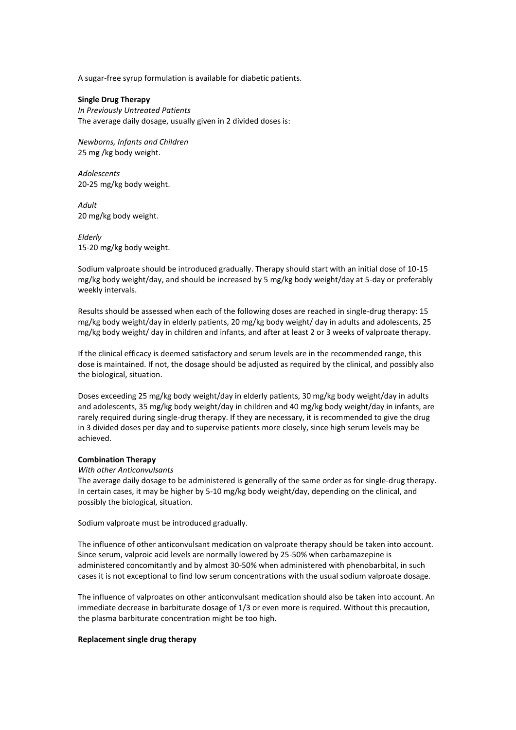A sugar-free syrup formulation is available for diabetic patients.

**Single Drug Therapy** *In Previously Untreated Patients* The average daily dosage, usually given in 2 divided doses is:

*Newborns, Infants and Children* 25 mg /kg body weight.

*Adolescents* 20-25 mg/kg body weight.

*Adult* 20 mg/kg body weight.

*Elderly* 15-20 mg/kg body weight.

Sodium valproate should be introduced gradually. Therapy should start with an initial dose of 10-15 mg/kg body weight/day, and should be increased by 5 mg/kg body weight/day at 5-day or preferably weekly intervals.

Results should be assessed when each of the following doses are reached in single-drug therapy: 15 mg/kg body weight/day in elderly patients, 20 mg/kg body weight/ day in adults and adolescents, 25 mg/kg body weight/ day in children and infants, and after at least 2 or 3 weeks of valproate therapy.

If the clinical efficacy is deemed satisfactory and serum levels are in the recommended range, this dose is maintained. If not, the dosage should be adjusted as required by the clinical, and possibly also the biological, situation.

Doses exceeding 25 mg/kg body weight/day in elderly patients, 30 mg/kg body weight/day in adults and adolescents, 35 mg/kg body weight/day in children and 40 mg/kg body weight/day in infants, are rarely required during single-drug therapy. If they are necessary, it is recommended to give the drug in 3 divided doses per day and to supervise patients more closely, since high serum levels may be achieved.

### **Combination Therapy**

*With other Anticonvulsants*

The average daily dosage to be administered is generally of the same order as for single-drug therapy. In certain cases, it may be higher by 5-10 mg/kg body weight/day, depending on the clinical, and possibly the biological, situation.

Sodium valproate must be introduced gradually.

The influence of other anticonvulsant medication on valproate therapy should be taken into account. Since serum, valproic acid levels are normally lowered by 25-50% when carbamazepine is administered concomitantly and by almost 30-50% when administered with phenobarbital, in such cases it is not exceptional to find low serum concentrations with the usual sodium valproate dosage.

The influence of valproates on other anticonvulsant medication should also be taken into account. An immediate decrease in barbiturate dosage of 1/3 or even more is required. Without this precaution, the plasma barbiturate concentration might be too high.

#### **Replacement single drug therapy**